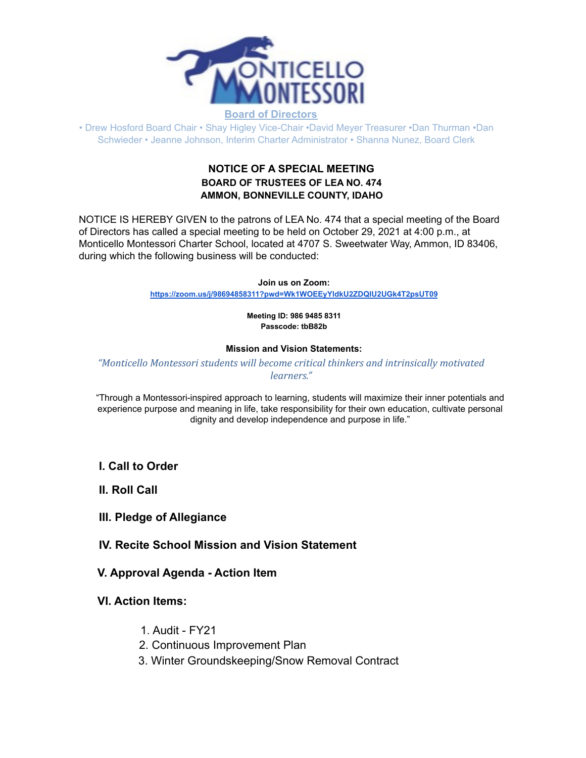

### **Board of Directors**

• Drew Hosford Board Chair • Shay Higley Vice-Chair •David Meyer Treasurer •Dan Thurman •Dan Schwieder • Jeanne Johnson, Interim Charter Administrator • Shanna Nunez, Board Clerk

## **NOTICE OF A SPECIAL MEETING BOARD OF TRUSTEES OF LEA NO. 474 AMMON, BONNEVILLE COUNTY, IDAHO**

NOTICE IS HEREBY GIVEN to the patrons of LEA No. 474 that a special meeting of the Board of Directors has called a special meeting to be held on October 29, 2021 at 4:00 p.m., at Monticello Montessori Charter School, located at 4707 S. Sweetwater Way, Ammon, ID 83406, during which the following business will be conducted:

### **Join us on Zoom:**

**<https://zoom.us/j/98694858311?pwd=Wk1WOEEyYldkU2ZDQlU2UGk4T2psUT09>**

#### **Meeting ID: 986 9485 8311 Passcode: tbB82b**

### **Mission and Vision Statements:**

### *"Monticello Montessori students will become critical thinkers and intrinsically motivated learners."*

"Through a Montessori-inspired approach to learning, students will maximize their inner potentials and experience purpose and meaning in life, take responsibility for their own education, cultivate personal dignity and develop independence and purpose in life."

### **I. Call to Order**

**II. Roll Call**

## **III. Pledge of Allegiance**

## **IV. Recite School Mission and Vision Statement**

### **V. Approval Agenda - Action Item**

## **VI. Action Items:**

- 1. Audit FY21
- 2. Continuous Improvement Plan
- 3. Winter Groundskeeping/Snow Removal Contract